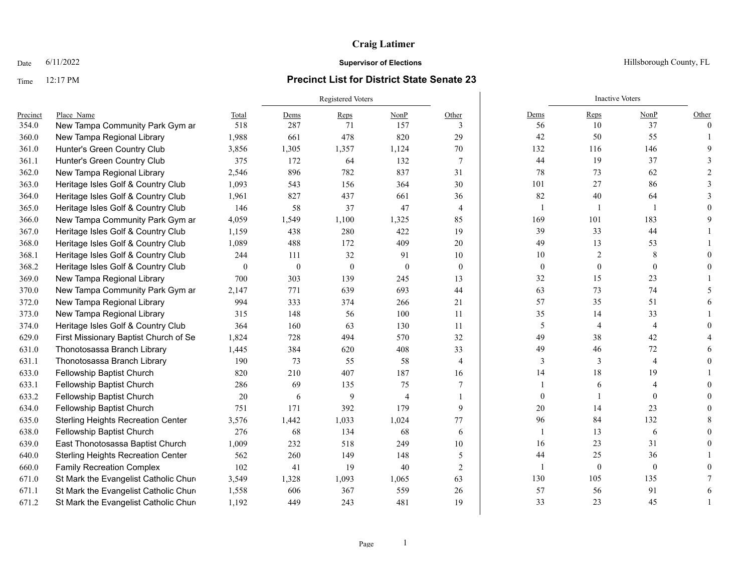### Time 12:17 PM **Precinct List for District State Senate 23**

|          |                                           |                  | <b>Registered Voters</b> |              |                |                |                  | <b>Inactive Voters</b> |                |          |
|----------|-------------------------------------------|------------------|--------------------------|--------------|----------------|----------------|------------------|------------------------|----------------|----------|
| Precinct | Place Name                                | Total            | Dems                     | Reps         | NonP           | Other          | Dems             | Reps                   | NonP           | Other    |
| 354.0    | New Tampa Community Park Gym ar           | 518              | 287                      | 71           | 157            | 3              | 56               | 10                     | 37             | $\theta$ |
| 360.0    | New Tampa Regional Library                | 1,988            | 661                      | 478          | 820            | 29             | 42               | 50                     | 55             |          |
| 361.0    | Hunter's Green Country Club               | 3,856            | 1,305                    | 1,357        | 1,124          | 70             | 132              | 116                    | 146            |          |
| 361.1    | Hunter's Green Country Club               | 375              | 172                      | 64           | 132            | $\tau$         | 44               | 19                     | 37             |          |
| 362.0    | New Tampa Regional Library                | 2,546            | 896                      | 782          | 837            | 31             | 78               | 73                     | 62             |          |
| 363.0    | Heritage Isles Golf & Country Club        | 1,093            | 543                      | 156          | 364            | 30             | 101              | 27                     | 86             |          |
| 364.0    | Heritage Isles Golf & Country Club        | 1,961            | 827                      | 437          | 661            | 36             | 82               | 40                     | 64             |          |
| 365.0    | Heritage Isles Golf & Country Club        | 146              | 58                       | 37           | 47             | $\overline{4}$ | $\mathbf{1}$     |                        |                |          |
| 366.0    | New Tampa Community Park Gym ar           | 4,059            | 1,549                    | 1,100        | 1,325          | 85             | 169              | 101                    | 183            |          |
| 367.0    | Heritage Isles Golf & Country Club        | 1,159            | 438                      | 280          | 422            | 19             | 39               | 33                     | 44             |          |
| 368.0    | Heritage Isles Golf & Country Club        | 1,089            | 488                      | 172          | 409            | 20             | 49               | 13                     | 53             |          |
| 368.1    | Heritage Isles Golf & Country Club        | 244              | 111                      | 32           | 91             | 10             | 10               | $\overline{c}$         | 8              |          |
| 368.2    | Heritage Isles Golf & Country Club        | $\boldsymbol{0}$ | $\boldsymbol{0}$         | $\mathbf{0}$ | $\overline{0}$ | $\overline{0}$ | $\boldsymbol{0}$ | $\mathbf{0}$           | $\theta$       |          |
| 369.0    | New Tampa Regional Library                | 700              | 303                      | 139          | 245            | 13             | 32               | 15                     | 23             |          |
| 370.0    | New Tampa Community Park Gym ar           | 2,147            | 771                      | 639          | 693            | 44             | 63               | 73                     | 74             |          |
| 372.0    | New Tampa Regional Library                | 994              | 333                      | 374          | 266            | 21             | 57               | 35                     | 51             |          |
| 373.0    | New Tampa Regional Library                | 315              | 148                      | 56           | 100            | 11             | 35               | 14                     | 33             |          |
| 374.0    | Heritage Isles Golf & Country Club        | 364              | 160                      | 63           | 130            | 11             | $\mathfrak s$    | $\overline{4}$         | $\overline{4}$ |          |
| 629.0    | First Missionary Baptist Church of Se     | 1,824            | 728                      | 494          | 570            | 32             | 49               | 38                     | 42             |          |
| 631.0    | Thonotosassa Branch Library               | 1,445            | 384                      | 620          | 408            | 33             | 49               | 46                     | 72             |          |
| 631.1    | Thonotosassa Branch Library               | 190              | 73                       | 55           | 58             | 4              | 3                | 3                      | $\overline{4}$ |          |
| 633.0    | Fellowship Baptist Church                 | 820              | 210                      | 407          | 187            | 16             | 14               | 18                     | 19             |          |
| 633.1    | Fellowship Baptist Church                 | 286              | 69                       | 135          | 75             | 7              | $\mathbf{1}$     | 6                      |                |          |
| 633.2    | Fellowship Baptist Church                 | 20               | 6                        | 9            | $\overline{4}$ |                | $\overline{0}$   |                        | $\theta$       |          |
| 634.0    | Fellowship Baptist Church                 | 751              | 171                      | 392          | 179            | 9              | 20               | 14                     | 23             |          |
| 635.0    | <b>Sterling Heights Recreation Center</b> | 3,576            | 1,442                    | 1,033        | 1,024          | 77             | 96               | 84                     | 132            |          |
| 638.0    | Fellowship Baptist Church                 | 276              | 68                       | 134          | 68             | 6              | $\mathbf{1}$     | 13                     | 6              |          |
| 639.0    | East Thonotosassa Baptist Church          | 1,009            | 232                      | 518          | 249            | 10             | 16               | 23                     | 31             |          |
| 640.0    | <b>Sterling Heights Recreation Center</b> | 562              | 260                      | 149          | 148            | 5              | 44               | 25                     | 36             |          |
| 660.0    | <b>Family Recreation Complex</b>          | 102              | 41                       | 19           | 40             | 2              | $\overline{1}$   | $\mathbf{0}$           | $\mathbf{0}$   |          |
| 671.0    | St Mark the Evangelist Catholic Chure     | 3,549            | 1,328                    | 1,093        | 1,065          | 63             | 130              | 105                    | 135            |          |
| 671.1    | St Mark the Evangelist Catholic Chure     | 1,558            | 606                      | 367          | 559            | 26             | 57               | 56                     | 91             |          |
| 671.2    | St Mark the Evangelist Catholic Chure     | 1,192            | 449                      | 243          | 481            | 19             | 33               | 23                     | 45             |          |

Date  $6/11/2022$  Hillsborough County, FL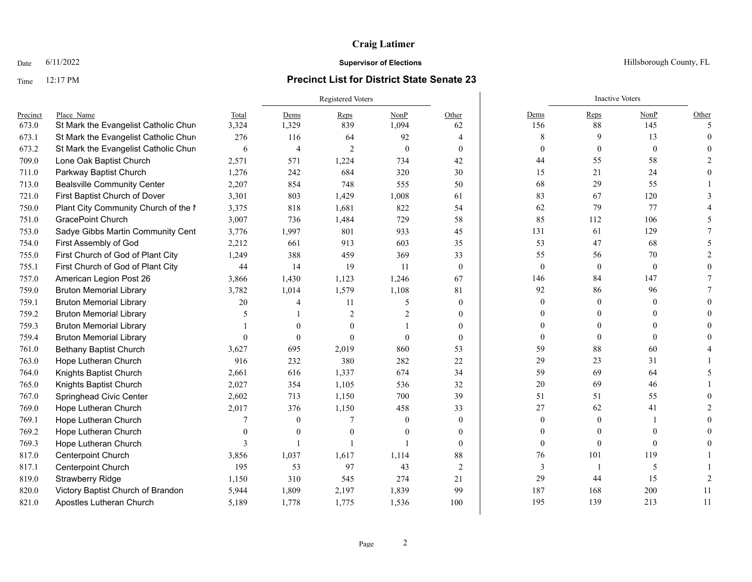### Time 12:17 PM **Precinct List for District State Senate 23**

|          |                                       |          | <b>Registered Voters</b> |                |                |                |                  | <b>Inactive Voters</b> |                  |                          |
|----------|---------------------------------------|----------|--------------------------|----------------|----------------|----------------|------------------|------------------------|------------------|--------------------------|
| Precinct | Place Name                            | Total    | Dems                     | Reps           | NonP           | Other          | Dems             | Reps                   | NonP             | Other                    |
| 673.0    | St Mark the Evangelist Catholic Chure | 3,324    | 1,329                    | 839            | 1,094          | 62             | 156              | 88                     | 145              | $\overline{\phantom{0}}$ |
| 673.1    | St Mark the Evangelist Catholic Chure | 276      | 116                      | 64             | 92             | 4              | 8                | 9                      | 13               | $\Omega$                 |
| 673.2    | St Mark the Evangelist Catholic Chure | 6        | $\overline{4}$           | $\overline{2}$ | $\theta$       | $\theta$       | $\overline{0}$   | $\mathbf{0}$           | $\mathbf{0}$     |                          |
| 709.0    | Lone Oak Baptist Church               | 2,571    | 571                      | 1,224          | 734            | 42             | 44               | 55                     | 58               |                          |
| 711.0    | Parkway Baptist Church                | 1,276    | 242                      | 684            | 320            | 30             | 15               | 21                     | 24               |                          |
| 713.0    | <b>Bealsville Community Center</b>    | 2,207    | 854                      | 748            | 555            | 50             | 68               | 29                     | 55               |                          |
| 721.0    | First Baptist Church of Dover         | 3,301    | 803                      | 1,429          | 1,008          | 61             | 83               | 67                     | 120              |                          |
| 750.0    | Plant City Community Church of the I  | 3,375    | 818                      | 1,681          | 822            | 54             | 62               | 79                     | 77               |                          |
| 751.0    | <b>GracePoint Church</b>              | 3,007    | 736                      | 1,484          | 729            | 58             | 85               | 112                    | 106              |                          |
| 753.0    | Sadye Gibbs Martin Community Cent     | 3,776    | 1,997                    | 801            | 933            | 45             | 131              | 61                     | 129              |                          |
| 754.0    | First Assembly of God                 | 2,212    | 661                      | 913            | 603            | 35             | 53               | 47                     | 68               |                          |
| 755.0    | First Church of God of Plant City     | 1,249    | 388                      | 459            | 369            | 33             | 55               | 56                     | 70               |                          |
| 755.1    | First Church of God of Plant City     | 44       | 14                       | 19             | -11            | $\overline{0}$ | $\bf{0}$         | $\boldsymbol{0}$       | $\boldsymbol{0}$ |                          |
| 757.0    | American Legion Post 26               | 3,866    | 1,430                    | 1,123          | 1,246          | 67             | 146              | 84                     | 147              |                          |
| 759.0    | <b>Bruton Memorial Library</b>        | 3,782    | 1,014                    | 1,579          | 1,108          | 81             | 92               | 86                     | 96               |                          |
| 759.1    | <b>Bruton Memorial Library</b>        | 20       | 4                        | 11             | 5              | $\overline{0}$ | $\Omega$         | $\theta$               | $\theta$         |                          |
| 759.2    | <b>Bruton Memorial Library</b>        | 5        |                          | $\overline{2}$ | $\overline{c}$ | $\overline{0}$ | $\Omega$         |                        | $\Omega$         |                          |
| 759.3    | <b>Bruton Memorial Library</b>        |          | $\Omega$                 |                |                | $\Omega$       | 0                |                        |                  |                          |
| 759.4    | <b>Bruton Memorial Library</b>        | $\theta$ | $\theta$                 | $\theta$       | $\Omega$       | $\Omega$       | $\overline{0}$   | $\Omega$               | $\theta$         |                          |
| 761.0    | <b>Bethany Baptist Church</b>         | 3,627    | 695                      | 2,019          | 860            | 53             | 59               | 88                     | 60               |                          |
| 763.0    | Hope Lutheran Church                  | 916      | 232                      | 380            | 282            | 22             | 29               | 23                     | 31               |                          |
| 764.0    | Knights Baptist Church                | 2,661    | 616                      | 1,337          | 674            | 34             | 59               | 69                     | 64               |                          |
| 765.0    | Knights Baptist Church                | 2,027    | 354                      | 1,105          | 536            | 32             | $20\,$           | 69                     | 46               |                          |
| 767.0    | Springhead Civic Center               | 2,602    | 713                      | 1,150          | 700            | 39             | 51               | 51                     | 55               |                          |
| 769.0    | Hope Lutheran Church                  | 2,017    | 376                      | 1,150          | 458            | 33             | 27               | 62                     | 41               |                          |
| 769.1    | Hope Lutheran Church                  |          | $\mathbf{0}$             |                | $\theta$       | $\overline{0}$ | $\boldsymbol{0}$ | $\theta$               |                  |                          |
| 769.2    | Hope Lutheran Church                  |          | $\Omega$                 | $\Omega$       | $\Omega$       | $\theta$       | $\Omega$         |                        |                  |                          |
| 769.3    | Hope Lutheran Church                  | 3        |                          |                |                | $\theta$       | $\mathbf{0}$     | $\Omega$               | $\Omega$         |                          |
| 817.0    | Centerpoint Church                    | 3,856    | 1,037                    | 1,617          | 1,114          | 88             | 76               | 101                    | 119              |                          |
| 817.1    | <b>Centerpoint Church</b>             | 195      | 53                       | 97             | 43             | 2              | 3                |                        | 5                |                          |
| 819.0    | <b>Strawberry Ridge</b>               | 1,150    | 310                      | 545            | 274            | 21             | 29               | 44                     | 15               |                          |
| 820.0    | Victory Baptist Church of Brandon     | 5,944    | 1,809                    | 2,197          | 1,839          | 99             | 187              | 168                    | 200              | 11                       |
| 821.0    | Apostles Lutheran Church              | 5,189    | 1,778                    | 1,775          | 1,536          | 100            | 195              | 139                    | 213              | 11                       |

Date  $6/11/2022$  Hillsborough County, FL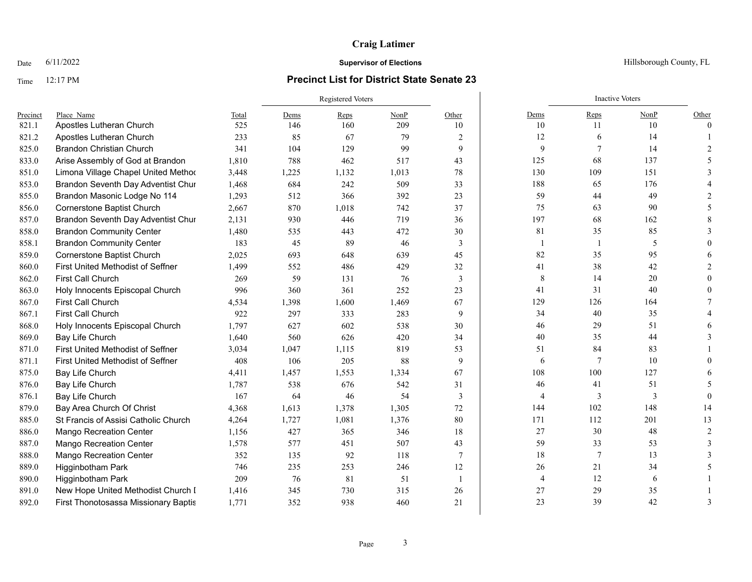### Time 12:17 PM **Precinct List for District State Senate 23**

|          |                                      |       | <b>Registered Voters</b> |       |       |       |                | <b>Inactive Voters</b> |      |                |
|----------|--------------------------------------|-------|--------------------------|-------|-------|-------|----------------|------------------------|------|----------------|
| Precinct | Place Name                           | Total | Dems                     | Reps  | NonP  | Other | Dems           | Reps                   | NonP | Other          |
| 821.1    | Apostles Lutheran Church             | 525   | 146                      | 160   | 209   | 10    | 10             | 11                     | 10   | $\Omega$       |
| 821.2    | Apostles Lutheran Church             | 233   | 85                       | 67    | 79    | 2     | 12             | 6                      | 14   |                |
| 825.0    | <b>Brandon Christian Church</b>      | 341   | 104                      | 129   | 99    | 9     | 9              | 7                      | 14   | $\mathcal{D}$  |
| 833.0    | Arise Assembly of God at Brandon     | 1,810 | 788                      | 462   | 517   | 43    | 125            | 68                     | 137  |                |
| 851.0    | Limona Village Chapel United Method  | 3,448 | 1,225                    | 1,132 | 1,013 | 78    | 130            | 109                    | 151  |                |
| 853.0    | Brandon Seventh Day Adventist Chur   | 1,468 | 684                      | 242   | 509   | 33    | 188            | 65                     | 176  |                |
| 855.0    | Brandon Masonic Lodge No 114         | 1,293 | 512                      | 366   | 392   | 23    | 59             | 44                     | 49   |                |
| 856.0    | <b>Cornerstone Baptist Church</b>    | 2,667 | 870                      | 1,018 | 742   | 37    | 75             | 63                     | 90   |                |
| 857.0    | Brandon Seventh Day Adventist Chur   | 2,131 | 930                      | 446   | 719   | 36    | 197            | 68                     | 162  |                |
| 858.0    | <b>Brandon Community Center</b>      | 1,480 | 535                      | 443   | 472   | 30    | 81             | 35                     | 85   |                |
| 858.1    | <b>Brandon Community Center</b>      | 183   | 45                       | 89    | 46    | 3     | 1              | -1                     | 5    |                |
| 859.0    | <b>Cornerstone Baptist Church</b>    | 2,025 | 693                      | 648   | 639   | 45    | 82             | 35                     | 95   |                |
| 860.0    | First United Methodist of Seffner    | 1,499 | 552                      | 486   | 429   | 32    | 41             | 38                     | 42   |                |
| 862.0    | First Call Church                    | 269   | 59                       | 131   | 76    | 3     | 8              | 14                     | 20   |                |
| 863.0    | Holy Innocents Episcopal Church      | 996   | 360                      | 361   | 252   | 23    | 41             | 31                     | 40   |                |
| 867.0    | First Call Church                    | 4,534 | 1,398                    | 1,600 | 1,469 | 67    | 129            | 126                    | 164  |                |
| 867.1    | First Call Church                    | 922   | 297                      | 333   | 283   | 9     | 34             | 40                     | 35   |                |
| 868.0    | Holy Innocents Episcopal Church      | 1,797 | 627                      | 602   | 538   | 30    | 46             | 29                     | 51   |                |
| 869.0    | Bay Life Church                      | 1,640 | 560                      | 626   | 420   | 34    | 40             | 35                     | 44   |                |
| 871.0    | First United Methodist of Seffner    | 3,034 | 1,047                    | 1,115 | 819   | 53    | 51             | 84                     | 83   |                |
| 871.1    | First United Methodist of Seffner    | 408   | 106                      | 205   | 88    | 9     | 6              | 7                      | 10   |                |
| 875.0    | Bay Life Church                      | 4,411 | 1,457                    | 1,553 | 1,334 | 67    | 108            | 100                    | 127  |                |
| 876.0    | Bay Life Church                      | 1,787 | 538                      | 676   | 542   | 31    | 46             | 41                     | 51   |                |
| 876.1    | Bay Life Church                      | 167   | 64                       | 46    | 54    | 3     | 4              | 3                      | 3    | $\Omega$       |
| 879.0    | Bay Area Church Of Christ            | 4,368 | 1,613                    | 1,378 | 1,305 | 72    | 144            | 102                    | 148  | 14             |
| 885.0    | St Francis of Assisi Catholic Church | 4,264 | 1,727                    | 1,081 | 1,376 | 80    | 171            | 112                    | 201  | 13             |
| 886.0    | <b>Mango Recreation Center</b>       | 1,156 | 427                      | 365   | 346   | 18    | 27             | 30                     | 48   | $\mathcal{D}$  |
| 887.0    | <b>Mango Recreation Center</b>       | 1,578 | 577                      | 451   | 507   | 43    | 59             | 33                     | 53   |                |
| 888.0    | <b>Mango Recreation Center</b>       | 352   | 135                      | 92    | 118   | 7     | 18             | 7                      | 13   |                |
| 889.0    | Higginbotham Park                    | 746   | 235                      | 253   | 246   | 12    | 26             | 21                     | 34   |                |
| 890.0    | Higginbotham Park                    | 209   | 76                       | 81    | 51    | -1    | $\overline{4}$ | 12                     | 6    |                |
| 891.0    | New Hope United Methodist Church I   | 1,416 | 345                      | 730   | 315   | 26    | 27             | 29                     | 35   |                |
| 892.0    | First Thonotosassa Missionary Baptis | 1,771 | 352                      | 938   | 460   | 21    | 23             | 39                     | 42   | $\overline{A}$ |

Date  $6/11/2022$  Hillsborough County, FL